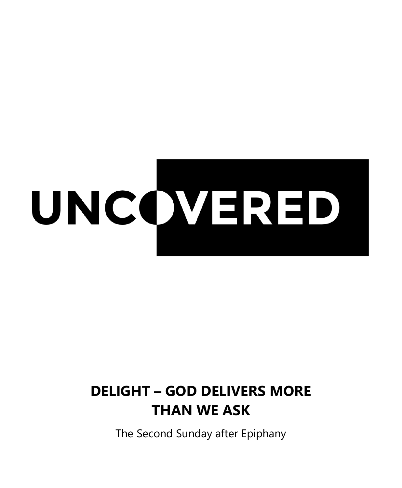

# **DELIGHT – GOD DELIVERS MORE THAN WE ASK**

The Second Sunday after Epiphany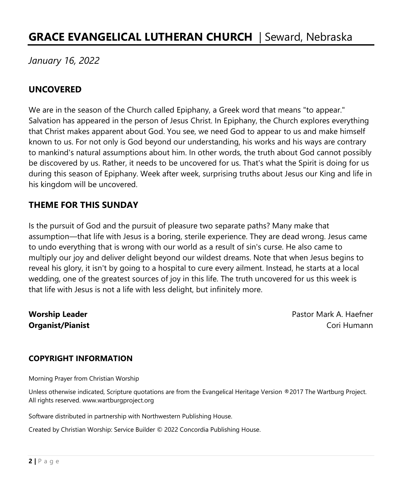# **GRACE EVANGELICAL LUTHERAN CHURCH** | Seward, Nebraska

*January 16, 2022*

#### **UNCOVERED**

We are in the season of the Church called Epiphany, a Greek word that means "to appear." Salvation has appeared in the person of Jesus Christ. In Epiphany, the Church explores everything that Christ makes apparent about God. You see, we need God to appear to us and make himself known to us. For not only is God beyond our understanding, his works and his ways are contrary to mankind's natural assumptions about him. In other words, the truth about God cannot possibly be discovered by us. Rather, it needs to be uncovered for us. That's what the Spirit is doing for us during this season of Epiphany. Week after week, surprising truths about Jesus our King and life in his kingdom will be uncovered.

#### **THEME FOR THIS SUNDAY**

Is the pursuit of God and the pursuit of pleasure two separate paths? Many make that assumption—that life with Jesus is a boring, sterile experience. They are dead wrong. Jesus came to undo everything that is wrong with our world as a result of sin's curse. He also came to multiply our joy and deliver delight beyond our wildest dreams. Note that when Jesus begins to reveal his glory, it isn't by going to a hospital to cure every ailment. Instead, he starts at a local wedding, one of the greatest sources of joy in this life. The truth uncovered for us this week is that life with Jesus is not a life with less delight, but infinitely more.

**Worship Leader Pastor Mark A. Haefner Pastor Mark A. Haefner Organist/Pianist** Cori Humann

#### **COPYRIGHT INFORMATION**

Morning Prayer from Christian Worship

Unless otherwise indicated, Scripture quotations are from the Evangelical Heritage Version ®2017 The Wartburg Project. All rights reserved. www.wartburgproject.org

Software distributed in partnership with Northwestern Publishing House.

Created by Christian Worship: Service Builder © 2022 Concordia Publishing House.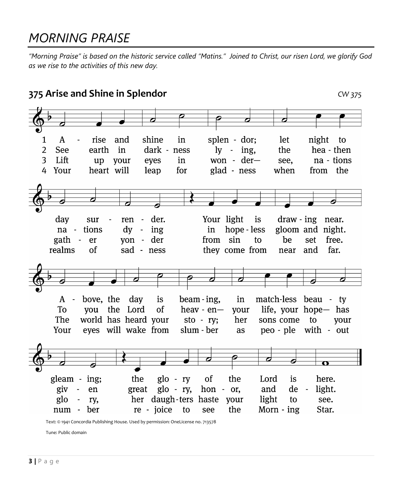# *MORNING PRAISE*

*"Morning Praise" is based on the historic service called "Matins." Joined to Christ, our risen Lord, we glorify God as we rise to the activities of this new day.*



Text: © 1941 Concordia Publishing House. Used by permission: OneLicense no. 713578

Tune: Public domain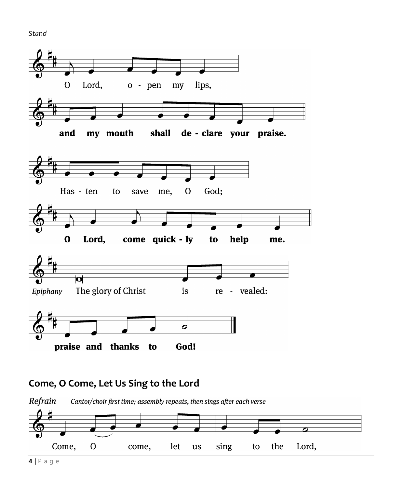Stand



#### Come, O Come, Let Us Sing to the Lord

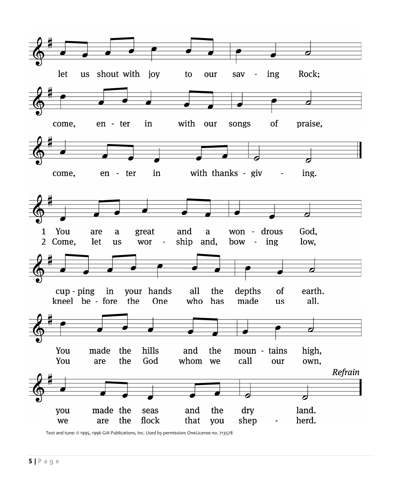

Text and tune: © 1995, 1996 GIA Publications, Inc. Used by permission: OneLicense no. 713578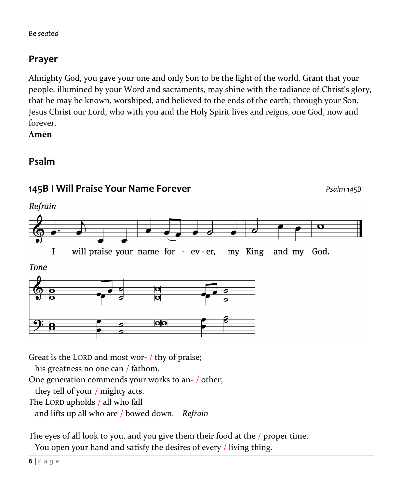# **Prayer**

Almighty God, you gave your one and only Son to be the light of the world. Grant that your people, illumined by your Word and sacraments, may shine with the radiance of Christ's glory, that he may be known, worshiped, and believed to the ends of the earth; through your Son, Jesus Christ our Lord, who with you and the Holy Spirit lives and reigns, one God, now and forever.

**Amen**

### **Psalm**



The eyes of all look to you, and you give them their food at the / proper time. You open your hand and satisfy the desires of every / living thing.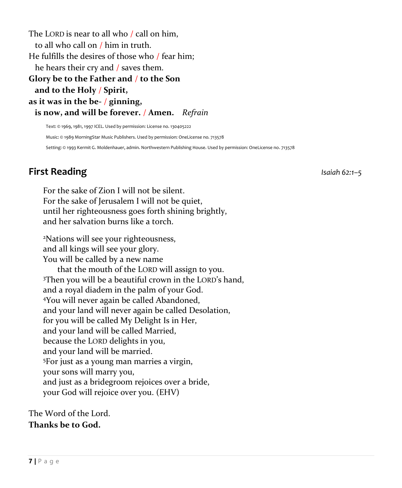The LORD is near to all who / call on him, to all who call on / him in truth. He fulfills the desires of those who / fear him; he hears their cry and / saves them. **Glory be to the Father and** / **to the Son and to the Holy** / **Spirit, as it was in the be-** / **ginning, is now, and will be forever.** / **Amen.** *Refrain*

Text: © 1969, 1981, 1997 ICEL. Used by permission: License no. 130405222 Music: © 1989 MorningStar Music Publishers. Used by permission: OneLicense no. 713578 Setting: © 1993 Kermit G. Moldenhauer, admin. Northwestern Publishing House. Used by permission: OneLicense no. 713578

# **First Reading** *Isaiah 62:1–5*

For the sake of Zion I will not be silent. For the sake of Jerusalem I will not be quiet, until her righteousness goes forth shining brightly, and her salvation burns like a torch.

<sup>2</sup>Nations will see your righteousness, and all kings will see your glory. You will be called by a new name that the mouth of the LORD will assign to you. <sup>3</sup>Then you will be a beautiful crown in the LORD's hand, and a royal diadem in the palm of your God. <sup>4</sup>You will never again be called Abandoned, and your land will never again be called Desolation, for you will be called My Delight Is in Her, and your land will be called Married, because the LORD delights in you, and your land will be married. <sup>5</sup>For just as a young man marries a virgin, your sons will marry you, and just as a bridegroom rejoices over a bride, your God will rejoice over you. (EHV)

The Word of the Lord. **Thanks be to God.**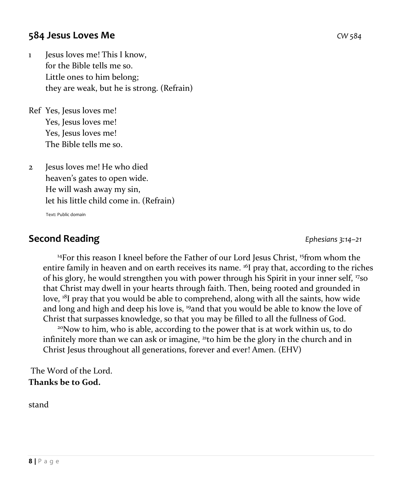#### **584 Jesus Loves Me** *CW 584*

1 Jesus loves me! This I know, for the Bible tells me so. Little ones to him belong; they are weak, but he is strong. (Refrain)

Ref Yes, Jesus loves me! Yes, Jesus loves me! Yes, Jesus loves me! The Bible tells me so.

2 Jesus loves me! He who died heaven's gates to open wide. He will wash away my sin, let his little child come in. (Refrain)

Text: Public domain

## **Second Reading** *Ephesians 3:14–21*

<sup>14</sup>For this reason I kneel before the Father of our Lord Jesus Christ, <sup>15</sup>from whom the entire family in heaven and on earth receives its name. <sup>16</sup>I pray that, according to the riches of his glory, he would strengthen you with power through his Spirit in your inner self, <sup>17</sup>so that Christ may dwell in your hearts through faith. Then, being rooted and grounded in love, <sup>18</sup>I pray that you would be able to comprehend, along with all the saints, how wide and long and high and deep his love is, <sup>19</sup>and that you would be able to know the love of Christ that surpasses knowledge, so that you may be filled to all the fullness of God. <sup>20</sup>Now to him, who is able, according to the power that is at work within us, to do infinitely more than we can ask or imagine,  $^{21}$ to him be the glory in the church and in Christ Jesus throughout all generations, forever and ever! Amen. (EHV)

The Word of the Lord. **Thanks be to God.**

stand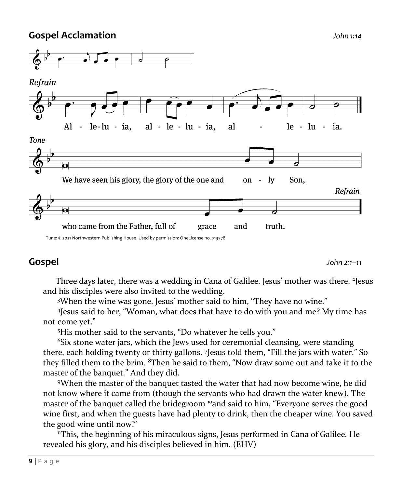#### **Gospel Acclamation** *John 1:14*



#### Tune: © 2021 Northwestern Publishing House. Used by permission: OneLicense no. 713578

#### **Gospel** *John 2:1–11*

 Three days later, there was a wedding in Cana of Galilee. Jesus' mother was there. <sup>2</sup> Jesus and his disciples were also invited to the wedding.

<sup>3</sup>When the wine was gone, Jesus' mother said to him, "They have no wine."

4 Jesus said to her, "Woman, what does that have to do with you and me? My time has not come yet."

<sup>5</sup>His mother said to the servants, "Do whatever he tells you."

<sup>6</sup>Six stone water jars, which the Jews used for ceremonial cleansing, were standing there, each holding twenty or thirty gallons. <sup>7</sup> Jesus told them, "Fill the jars with water." So they filled them to the brim. <sup>8</sup>Then he said to them, "Now draw some out and take it to the master of the banquet." And they did.

<sup>9</sup>When the master of the banquet tasted the water that had now become wine, he did not know where it came from (though the servants who had drawn the water knew). The master of the banquet called the bridegroom <sup>10</sup>and said to him, "Everyone serves the good wine first, and when the guests have had plenty to drink, then the cheaper wine. You saved the good wine until now!"

<sup>11</sup>This, the beginning of his miraculous signs, Jesus performed in Cana of Galilee. He revealed his glory, and his disciples believed in him. (EHV)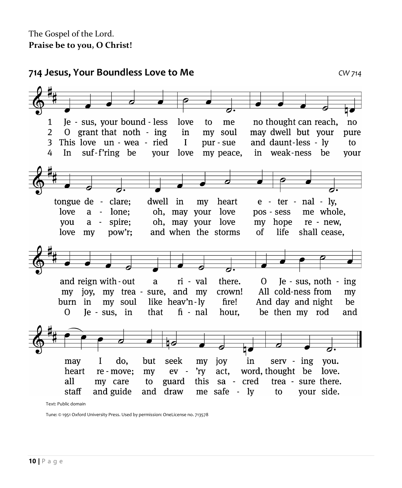**714 Jesus, Your Boundless Love to Me** *CW 714* Je - sus, your bound - less love no thought can reach,  $\mathbf{1}$ to me no  $\overline{2}$ O grant that noth - ing in my soul may dwell but your pure This love un - wea - ried and daunt-less - ly 3  $\mathbf{I}$ pur - sue to suf-f'ring be in weak-ness be 4  $In$ vour love my peace, vour tongue de - clare; dwell  $e$  - ter - nal - lv, in mv heart love  $a$ lone: oh, may your love pos - sess me whole.  $\sim$ spire; oh, may your love my hope re - new. vou  $a$ love my pow'r; and when the storms of life shall cease. and reign with - out a ri - val there.  $\Omega$ Je - sus, noth - ing my joy, my trea - sure, and my crown! All cold-ness from my like heav'n-ly And day and night burn in my soul fire! be  $\Omega$ Je - sus, in that  $fi$  -  $nal$ hour, be then my rod and †∕ do, but seek my joy  $serv - ing$ may I in you. heart 'ry act. word, thought be love. re - move; my ev all my care to guard this sa - cred trea - sure there. staff and guide and draw me safe - ly to your side. Text: Public domain

Tune: © 1951 Oxford University Press. Used by permission: OneLicense no. 713578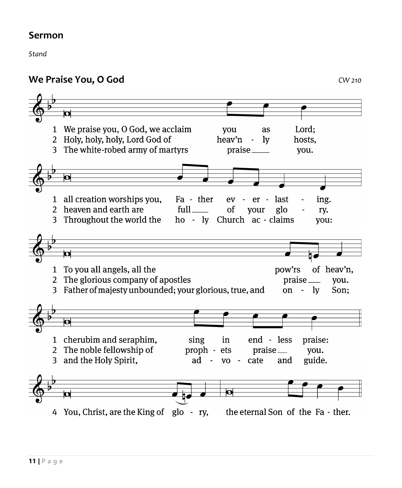#### **Sermon**

Stand

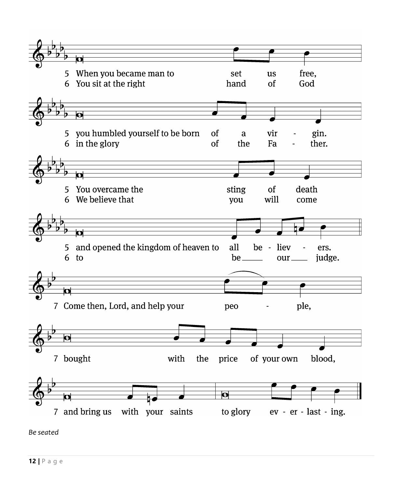

Be seated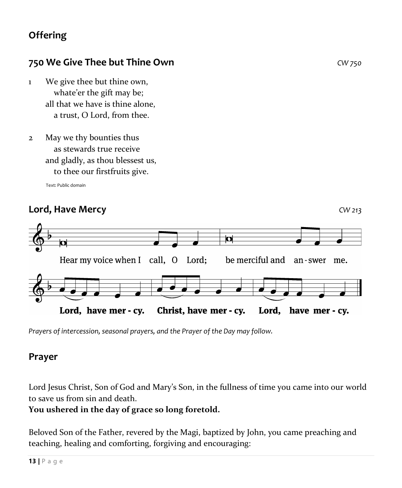# **Offering**

### **750 We Give Thee but Thine Own** *CW 750*

- 1 We give thee but thine own, whate'er the gift may be; all that we have is thine alone, a trust, O Lord, from thee.
- 2 May we thy bounties thus as stewards true receive and gladly, as thou blessest us, to thee our firstfruits give.

Text: Public domain

#### **Lord, Have Mercy** *CW 213*



*Prayers of intercession, seasonal prayers, and the Prayer of the Day may follow.*

#### **Prayer**

Lord Jesus Christ, Son of God and Mary's Son, in the fullness of time you came into our world to save us from sin and death.

#### **You ushered in the day of grace so long foretold.**

Beloved Son of the Father, revered by the Magi, baptized by John, you came preaching and teaching, healing and comforting, forgiving and encouraging: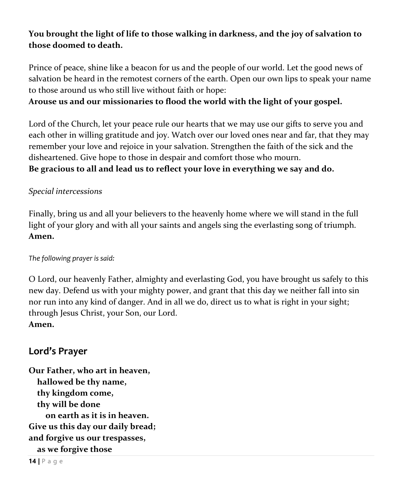#### **You brought the light of life to those walking in darkness, and the joy of salvation to those doomed to death.**

Prince of peace, shine like a beacon for us and the people of our world. Let the good news of salvation be heard in the remotest corners of the earth. Open our own lips to speak your name to those around us who still live without faith or hope:

#### **Arouse us and our missionaries to flood the world with the light of your gospel.**

Lord of the Church, let your peace rule our hearts that we may use our gifts to serve you and each other in willing gratitude and joy. Watch over our loved ones near and far, that they may remember your love and rejoice in your salvation. Strengthen the faith of the sick and the disheartened. Give hope to those in despair and comfort those who mourn. **Be gracious to all and lead us to reflect your love in everything we say and do.**

#### *Special intercessions*

Finally, bring us and all your believers to the heavenly home where we will stand in the full light of your glory and with all your saints and angels sing the everlasting song of triumph. **Amen.**

#### *The following prayer is said:*

O Lord, our heavenly Father, almighty and everlasting God, you have brought us safely to this new day. Defend us with your mighty power, and grant that this day we neither fall into sin nor run into any kind of danger. And in all we do, direct us to what is right in your sight; through Jesus Christ, your Son, our Lord.

#### **Amen.**

#### **Lord's Prayer**

**Our Father, who art in heaven, hallowed be thy name, thy kingdom come, thy will be done on earth as it is in heaven. Give us this day our daily bread; and forgive us our trespasses, as we forgive those**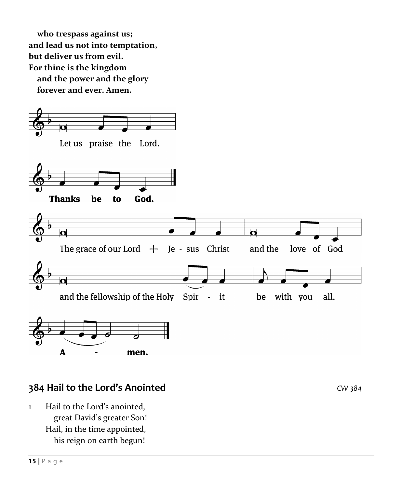**who trespass against us; and lead us not into temptation, but deliver us from evil. For thine is the kingdom and the power and the glory forever and ever. Amen.**



#### **384 Hail to the Lord's Anointed** *CW 384*

1 Hail to the Lord's anointed, great David's greater Son! Hail, in the time appointed, his reign on earth begun!